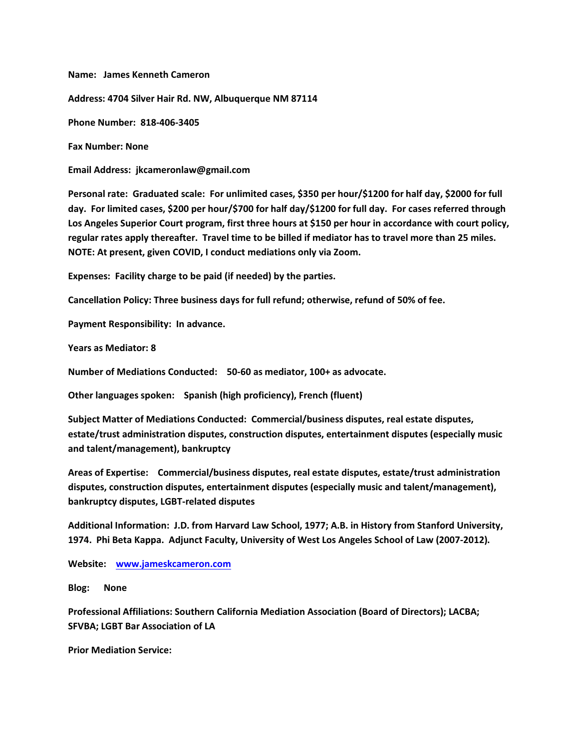**Name: James Kenneth Cameron Address: 4704 Silver Hair Rd. NW, Albuquerque NM 87114 Phone Number: 818-406-3405 Fax Number: None**

**Email Address: jkcameronlaw@gmail.com**

**Personal rate: Graduated scale: For unlimited cases, \$350 per hour/\$1200 for half day, \$2000 for full day. For limited cases, \$200 per hour/\$700 for half day/\$1200 for full day. For cases referred through Los Angeles Superior Court program, first three hours at \$150 per hour in accordance with court policy, regular rates apply thereafter. Travel time to be billed if mediator has to travel more than 25 miles. NOTE: At present, given COVID, I conduct mediations only via Zoom.**

**Expenses: Facility charge to be paid (if needed) by the parties.**

**Cancellation Policy: Three business days for full refund; otherwise, refund of 50% of fee.**

**Payment Responsibility: In advance.**

**Years as Mediator: 8**

**Number of Mediations Conducted: 50-60 as mediator, 100+ as advocate.**

**Other languages spoken: Spanish (high proficiency), French (fluent)**

**Subject Matter of Mediations Conducted: Commercial/business disputes, real estate disputes, estate/trust administration disputes, construction disputes, entertainment disputes (especially music and talent/management), bankruptcy**

**Areas of Expertise: Commercial/business disputes, real estate disputes, estate/trust administration disputes, construction disputes, entertainment disputes (especially music and talent/management), bankruptcy disputes, LGBT-related disputes**

**Additional Information: J.D. from Harvard Law School, 1977; A.B. in History from Stanford University, 1974. Phi Beta Kappa. Adjunct Faculty, University of West Los Angeles School of Law (2007-2012).**

**Website: [www.jameskcameron.com](http://www.jameskcameron.com)**

**Blog: None**

**Professional Affiliations: Southern California Mediation Association (Board of Directors); LACBA; SFVBA; LGBT Bar Association of LA**

**Prior Mediation Service:**